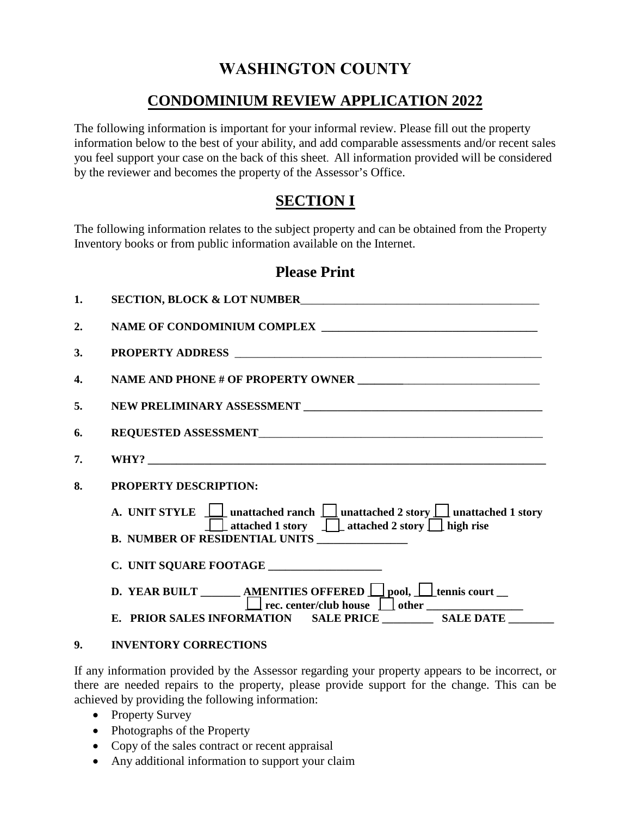# **WASHINGTON COUNTY**

## **CONDOMINIUM REVIEW APPLICATION 2022**

The following information is important for your informal review. Please fill out the property information below to the best of your ability, and add comparable assessments and/or recent sales you feel support your case on the back of this sheet. All information provided will be considered by the reviewer and becomes the property of the Assessor's Office.

### **SECTION I**

The following information relates to the subject property and can be obtained from the Property Inventory books or from public information available on the Internet.

### **Please Print**

| $\mathbf{1}$ . | SECTION, BLOCK & LOT NUMBER                                                                                                                    |  |  |
|----------------|------------------------------------------------------------------------------------------------------------------------------------------------|--|--|
| 2.             |                                                                                                                                                |  |  |
| 3.             |                                                                                                                                                |  |  |
| 4.             |                                                                                                                                                |  |  |
| 5.             |                                                                                                                                                |  |  |
| 6.             |                                                                                                                                                |  |  |
| 7.             |                                                                                                                                                |  |  |
| 8.             | <b>PROPERTY DESCRIPTION:</b>                                                                                                                   |  |  |
|                | A. UNIT STYLE $\Box$ unattached ranch $\Box$ unattached 2 story $\Box$ unattached 1 story<br>□ attached 1 story □ attached 2 story □ high rise |  |  |
|                |                                                                                                                                                |  |  |
|                |                                                                                                                                                |  |  |
|                | D. YEAR BUILT ________ AMENITIES OFFERED $\Box$ pool, $\Box$ tennis court __<br>$\Box$ rec. center/club house $\Box$ other $\Box$              |  |  |
|                | E. PRIOR SALES INFORMATION SALE PRICE ______________ SALE DATE __________                                                                      |  |  |

#### **9. INVENTORY CORRECTIONS**

If any information provided by the Assessor regarding your property appears to be incorrect, or there are needed repairs to the property, please provide support for the change. This can be achieved by providing the following information:

- Property Survey
- Photographs of the Property
- Copy of the sales contract or recent appraisal
- Any additional information to support your claim